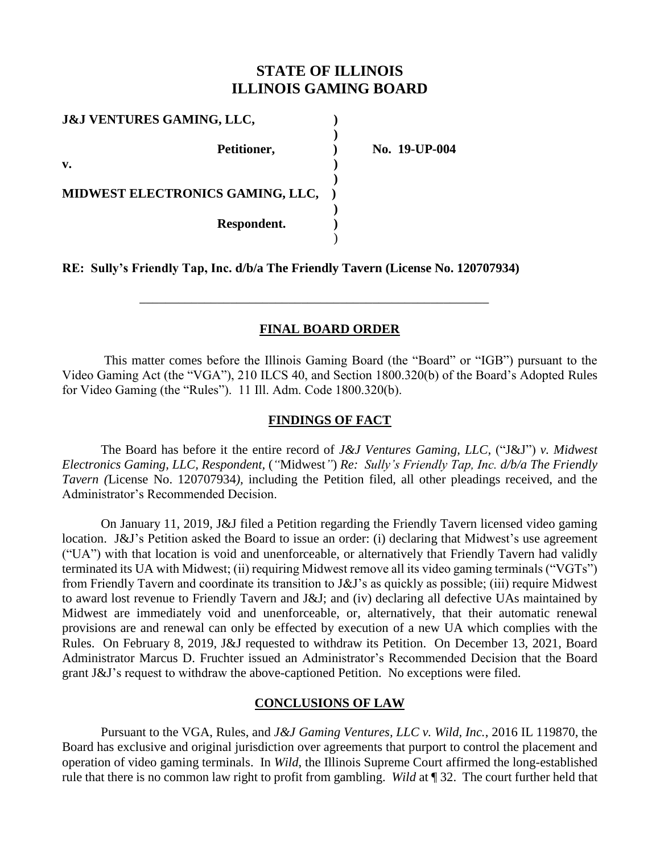# **STATE OF ILLINOIS ILLINOIS GAMING BOARD**

| <b>J&amp;J VENTURES GAMING, LLC,</b> |               |  |
|--------------------------------------|---------------|--|
| Petitioner,                          | No. 19-UP-004 |  |
| v.                                   |               |  |
|                                      |               |  |
| MIDWEST ELECTRONICS GAMING, LLC,     |               |  |
|                                      |               |  |
| Respondent.                          |               |  |
|                                      |               |  |

**RE: Sully's Friendly Tap, Inc. d/b/a The Friendly Tavern (License No. 120707934)**

## **FINAL BOARD ORDER**

\_\_\_\_\_\_\_\_\_\_\_\_\_\_\_\_\_\_\_\_\_\_\_\_\_\_\_\_\_\_\_\_\_\_\_\_\_\_\_\_\_\_\_\_\_\_\_\_\_\_\_\_\_\_

This matter comes before the Illinois Gaming Board (the "Board" or "IGB") pursuant to the Video Gaming Act (the "VGA"), 210 ILCS 40, and Section 1800.320(b) of the Board's Adopted Rules for Video Gaming (the "Rules"). 11 Ill. Adm. Code 1800.320(b).

### **FINDINGS OF FACT**

The Board has before it the entire record of *J&J Ventures Gaming, LLC,* ("J&J") *v. Midwest Electronics Gaming, LLC, Respondent,* (*"*Midwest*"*) *Re: Sully's Friendly Tap, Inc. d/b/a The Friendly Tavern (*License No. 120707934*),* including the Petition filed, all other pleadings received, and the Administrator's Recommended Decision.

On January 11, 2019, J&J filed a Petition regarding the Friendly Tavern licensed video gaming location. J&J's Petition asked the Board to issue an order: (i) declaring that Midwest's use agreement ("UA") with that location is void and unenforceable, or alternatively that Friendly Tavern had validly terminated its UA with Midwest; (ii) requiring Midwest remove all its video gaming terminals ("VGTs") from Friendly Tavern and coordinate its transition to J&J's as quickly as possible; (iii) require Midwest to award lost revenue to Friendly Tavern and J&J; and (iv) declaring all defective UAs maintained by Midwest are immediately void and unenforceable, or, alternatively, that their automatic renewal provisions are and renewal can only be effected by execution of a new UA which complies with the Rules. On February 8, 2019, J&J requested to withdraw its Petition. On December 13, 2021, Board Administrator Marcus D. Fruchter issued an Administrator's Recommended Decision that the Board grant J&J's request to withdraw the above-captioned Petition. No exceptions were filed.

## **CONCLUSIONS OF LAW**

Pursuant to the VGA, Rules, and *J&J Gaming Ventures, LLC v. Wild, Inc.*, 2016 IL 119870, the Board has exclusive and original jurisdiction over agreements that purport to control the placement and operation of video gaming terminals. In *Wild*, the Illinois Supreme Court affirmed the long-established rule that there is no common law right to profit from gambling. *Wild* at ¶ 32. The court further held that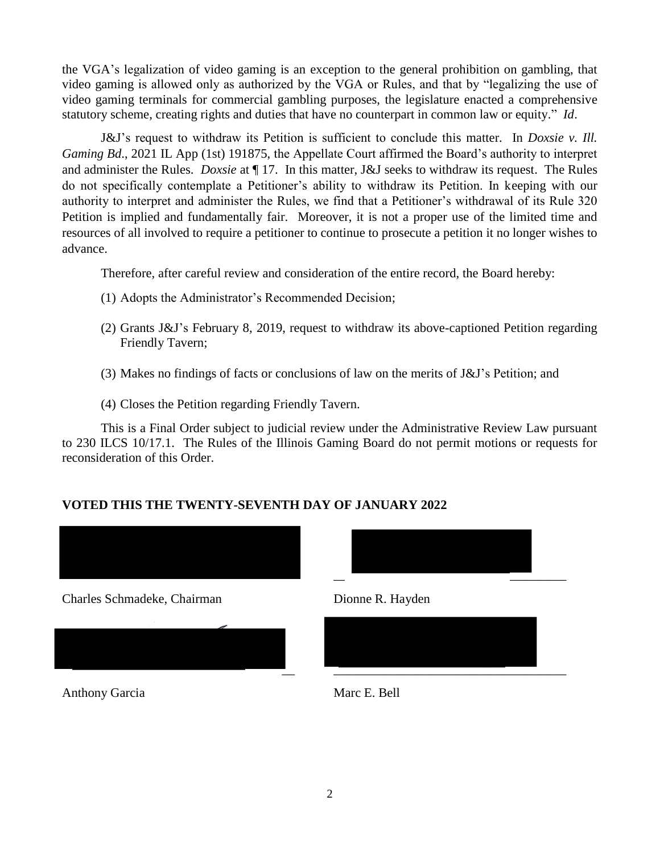the VGA's legalization of video gaming is an exception to the general prohibition on gambling, that video gaming is allowed only as authorized by the VGA or Rules, and that by "legalizing the use of video gaming terminals for commercial gambling purposes, the legislature enacted a comprehensive statutory scheme, creating rights and duties that have no counterpart in common law or equity." *Id*.

J&J's request to withdraw its Petition is sufficient to conclude this matter. In *Doxsie v. Ill. Gaming Bd*., 2021 IL App (1st) 191875, the Appellate Court affirmed the Board's authority to interpret and administer the Rules. *Doxsie* at ¶ 17. In this matter, J&J seeks to withdraw its request. The Rules do not specifically contemplate a Petitioner's ability to withdraw its Petition. In keeping with our authority to interpret and administer the Rules, we find that a Petitioner's withdrawal of its Rule 320 Petition is implied and fundamentally fair. Moreover, it is not a proper use of the limited time and resources of all involved to require a petitioner to continue to prosecute a petition it no longer wishes to advance.

Therefore, after careful review and consideration of the entire record, the Board hereby:

- (1) Adopts the Administrator's Recommended Decision;
- (2) Grants J&J's February 8, 2019, request to withdraw its above-captioned Petition regarding Friendly Tavern;
- (3) Makes no findings of facts or conclusions of law on the merits of J&J's Petition; and
- (4) Closes the Petition regarding Friendly Tavern.

This is a Final Order subject to judicial review under the Administrative Review Law pursuant to 230 ILCS 10/17.1. The Rules of the Illinois Gaming Board do not permit motions or requests for reconsideration of this Order.

## **VOTED THIS THE TWENTY-SEVENTH DAY OF JANUARY 2022**



Charles Schmadeke, Chairman Dionne R. Hayden



Anthony Garcia Marc E. Bell



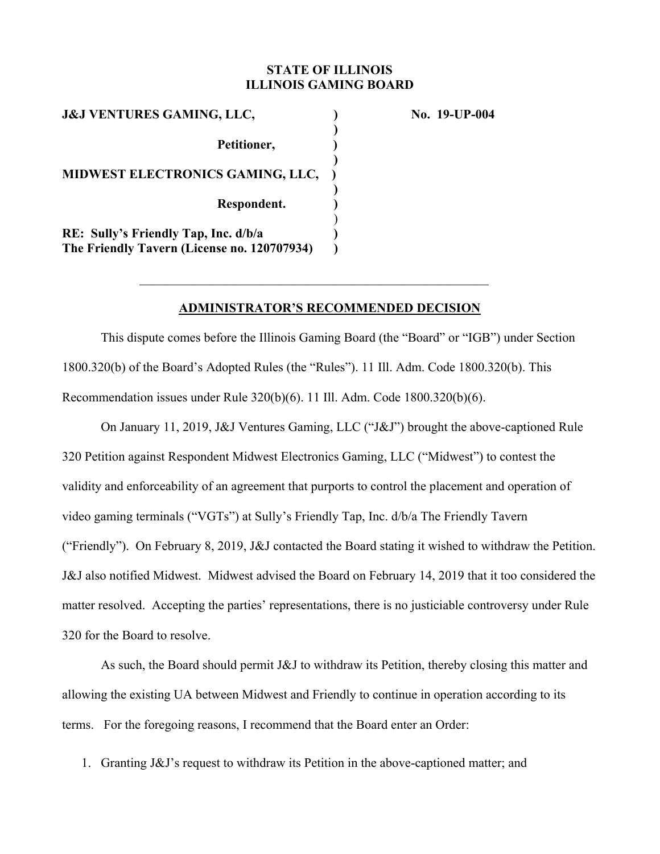### **STATE OF ILLINOIS ILLINOIS GAMING BOARD**

**J&J VENTURES GAMING, LLC,**  $\qquad \qquad$  **) No. 19-UP-004 ) Petitioner, ) ) MIDWEST ELECTRONICS GAMING, LLC, ) ) Respondent. )**   $)$ **RE: Sully's Friendly Tap, Inc. d/b/a ) The Friendly Tavern (License no. 120707934) )** 

### **ADMINISTRATOR'S RECOMMENDED DECISION**

This dispute comes before the Illinois Gaming Board (the "Board" or "IGB") under Section 1800.320(b) of the Board's Adopted Rules (the "Rules"). 11 Ill. Adm. Code 1800.320(b). This Recommendation issues under Rule 320(b)(6). 11 Ill. Adm. Code 1800.320(b)(6).

On January 11, 2019, J&J Ventures Gaming, LLC ("J&J") brought the above-captioned Rule 320 Petition against Respondent Midwest Electronics Gaming, LLC ("Midwest") to contest the validity and enforceability of an agreement that purports to control the placement and operation of video gaming terminals ("VGTs") at Sully's Friendly Tap, Inc. d/b/a The Friendly Tavern ("Friendly"). On February 8, 2019, J&J contacted the Board stating it wished to withdraw the Petition. J&J also notified Midwest. Midwest advised the Board on February 14, 2019 that it too considered the matter resolved. Accepting the parties' representations, there is no justiciable controversy under Rule 320 for the Board to resolve.

As such, the Board should permit J&J to withdraw its Petition, thereby closing this matter and allowing the existing UA between Midwest and Friendly to continue in operation according to its terms.For the foregoing reasons, I recommend that the Board enter an Order:

1. Granting J&J's request to withdraw its Petition in the above-captioned matter; and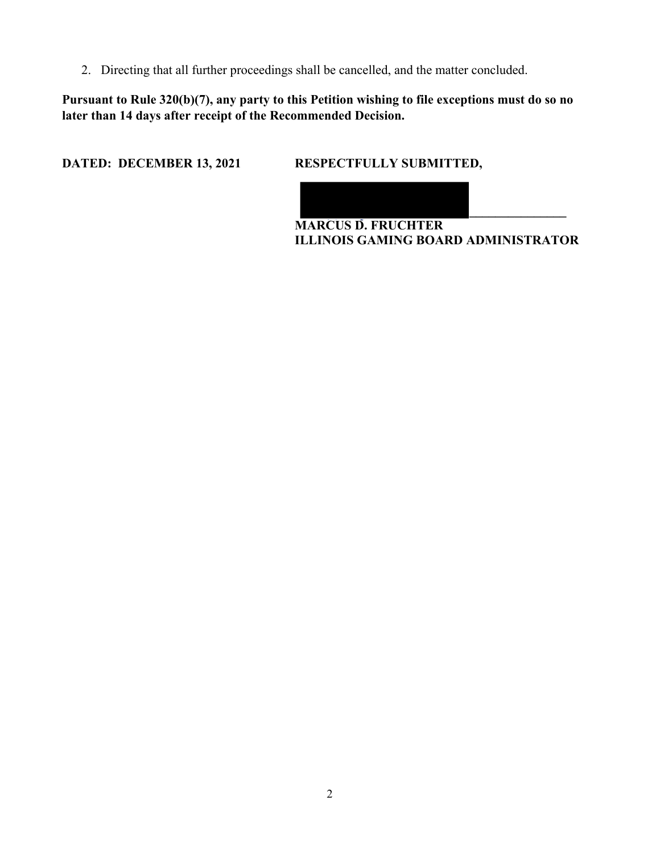2. Directing that all further proceedings shall be cancelled, and the matter concluded.

**Pursuant to Rule 320(b)(7), any party to this Petition wishing to file exceptions must do so no later than 14 days after receipt of the Recommended Decision.** 

**DATED: DECEMBER 13, 2021 RESPECTFULLY SUBMITTED,** 



**ILLINOIS GAMING BOARD ADMINISTRATOR**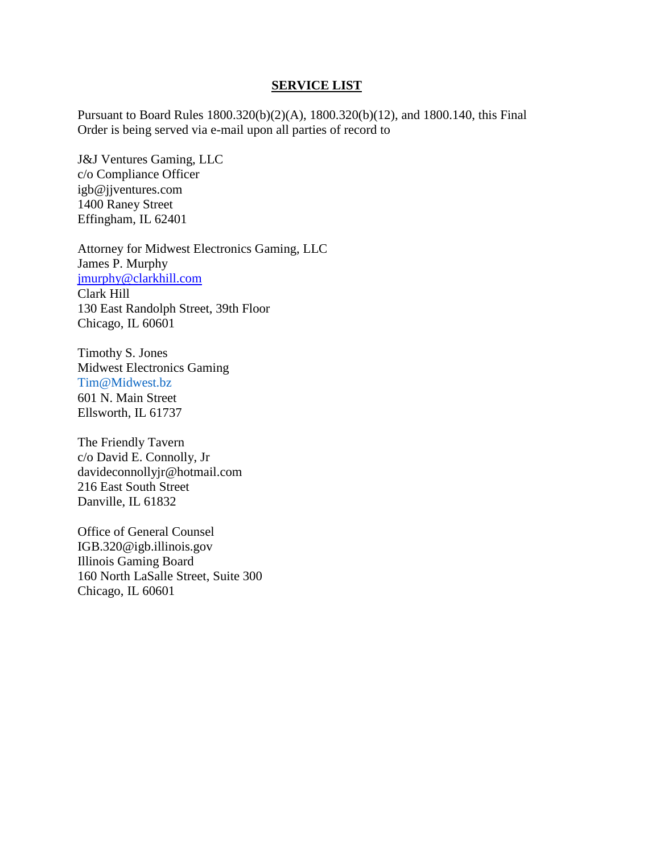#### **SERVICE LIST**

Pursuant to Board Rules 1800.320(b)(2)(A), 1800.320(b)(12), and 1800.140, this Final Order is being served via e-mail upon all parties of record to

J&J Ventures Gaming, LLC c/o Compliance Officer igb@jjventures.com 1400 Raney Street Effingham, IL 62401

Attorney for Midwest Electronics Gaming, LLC James P. Murphy [jmurphy@clarkhill.com](mailto:jmurphy@clarkhill.com) Clark Hill 130 East Randolph Street, 39th Floor Chicago, IL 60601

Timothy S. Jones Midwest Electronics Gaming Tim@Midwest.bz 601 N. Main Street Ellsworth, IL 61737

The Friendly Tavern c/o David E. Connolly, Jr davideconnollyjr@hotmail.com 216 East South Street Danville, IL 61832

Office of General Counsel IGB.320@igb.illinois.gov Illinois Gaming Board 160 North LaSalle Street, Suite 300 Chicago, IL 60601